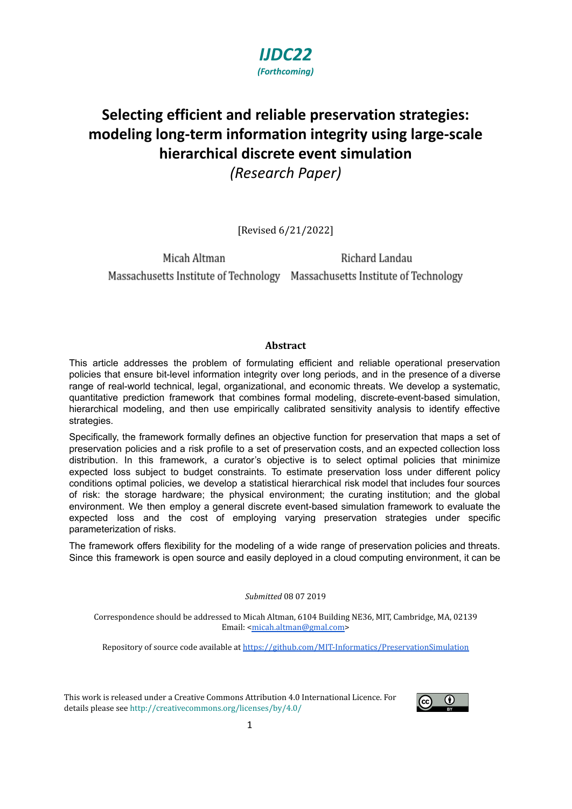

# **Selecting efficient and reliable preservation strategies: modeling long-term information integrity using large-scale hierarchical discrete event simulation** *(Research Paper)*

[Revised 6/21/2022]

Micah Altman Richard Landau Massachusetts Institute of Technology Massachusetts Institute of Technology

#### **Abstract**

This article addresses the problem of formulating efficient and reliable operational preservation policies that ensure bit-level information integrity over long periods, and in the presence of a diverse range of real-world technical, legal, organizational, and economic threats. We develop a systematic, quantitative prediction framework that combines formal modeling, discrete-event-based simulation, hierarchical modeling, and then use empirically calibrated sensitivity analysis to identify effective strategies.

Specifically, the framework formally defines an objective function for preservation that maps a set of preservation policies and a risk profile to a set of preservation costs, and an expected collection loss distribution. In this framework, a curator's objective is to select optimal policies that minimize expected loss subject to budget constraints. To estimate preservation loss under different policy conditions optimal policies, we develop a statistical hierarchical risk model that includes four sources of risk: the storage hardware; the physical environment; the curating institution; and the global environment. We then employ a general discrete event-based simulation framework to evaluate the expected loss and the cost of employing varying preservation strategies under specific parameterization of risks.

The framework offers flexibility for the modeling of a wide range of preservation policies and threats. Since this framework is open source and easily deployed in a cloud computing environment, it can be

#### *Submitted* 08 07 2019

Correspondence should be addressed to Micah Altman, 6104 Building NE36, MIT, Cambridge, MA, 02139 Email: [<micah.altman@gmal.com](mailto:micah.altman@gmal.com)>

Repository of source code available at <https://github.com/MIT-Informatics/PreservationSimulation>

This work is released under a Creative Commons Attribution 4.0 International Licence. For details please see <http://creativecommons.org/licenses/by/4.0/>

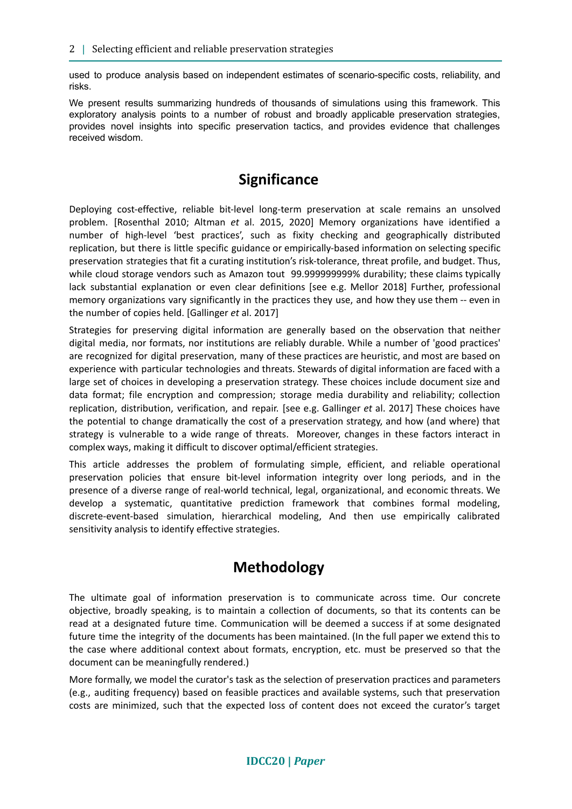used to produce analysis based on independent estimates of scenario-specific costs, reliability, and risks.

We present results summarizing hundreds of thousands of simulations using this framework. This exploratory analysis points to a number of robust and broadly applicable preservation strategies, provides novel insights into specific preservation tactics, and provides evidence that challenges received wisdom.

## **Significance**

Deploying cost-effective, reliable bit-level long-term preservation at scale remains an unsolved problem. [Rosenthal 2010; Altman *et* al. 2015, 2020] Memory organizations have identified a number of high-level 'best practices', such as fixity checking and geographically distributed replication, but there is little specific guidance or empirically-based information on selecting specific preservation strategies that fit a curating institution's risk-tolerance, threat profile, and budget. Thus, while cloud storage vendors such as Amazon tout 99.999999999% durability; these claims typically lack substantial explanation or even clear definitions [see e.g. Mellor 2018] Further, professional memory organizations vary significantly in the practices they use, and how they use them -- even in the number of copies held. [Gallinger *et* al. 2017]

Strategies for preserving digital information are generally based on the observation that neither digital media, nor formats, nor institutions are reliably durable. While a number of 'good practices' are recognized for digital preservation, many of these practices are heuristic, and most are based on experience with particular technologies and threats. Stewards of digital information are faced with a large set of choices in developing a preservation strategy. These choices include document size and data format; file encryption and compression; storage media durability and reliability; collection replication, distribution, verification, and repair. [see e.g. Gallinger *et* al. 2017] These choices have the potential to change dramatically the cost of a preservation strategy, and how (and where) that strategy is vulnerable to a wide range of threats. Moreover, changes in these factors interact in complex ways, making it difficult to discover optimal/efficient strategies.

This article addresses the problem of formulating simple, efficient, and reliable operational preservation policies that ensure bit-level information integrity over long periods, and in the presence of a diverse range of real-world technical, legal, organizational, and economic threats. We develop a systematic, quantitative prediction framework that combines formal modeling, discrete-event-based simulation, hierarchical modeling, And then use empirically calibrated sensitivity analysis to identify effective strategies.

# **Methodology**

The ultimate goal of information preservation is to communicate across time. Our concrete objective, broadly speaking, is to maintain a collection of documents, so that its contents can be read at a designated future time. Communication will be deemed a success if at some designated future time the integrity of the documents has been maintained. (In the full paper we extend this to the case where additional context about formats, encryption, etc. must be preserved so that the document can be meaningfully rendered.)

More formally, we model the curator's task as the selection of preservation practices and parameters (e.g., auditing frequency) based on feasible practices and available systems, such that preservation costs are minimized, such that the expected loss of content does not exceed the curator's target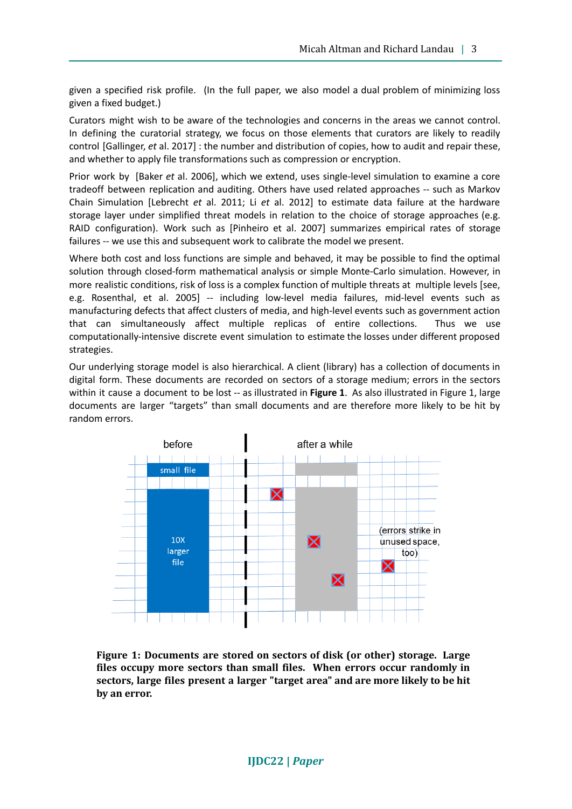given a specified risk profile. (In the full paper, we also model a dual problem of minimizing loss given a fixed budget.)

Curators might wish to be aware of the technologies and concerns in the areas we cannot control. In defining the curatorial strategy, we focus on those elements that curators are likely to readily control [Gallinger, *et* al. 2017] : the number and distribution of copies, how to audit and repair these, and whether to apply file transformations such as compression or encryption.

Prior work by [Baker *et* al. 2006], which we extend, uses single-level simulation to examine a core tradeoff between replication and auditing. Others have used related approaches -- such as Markov Chain Simulation [Lebrecht *et* al. 2011; Li *et* al. 2012] to estimate data failure at the hardware storage layer under simplified threat models in relation to the choice of storage approaches (e.g. RAID configuration). Work such as [Pinheiro et al. 2007] summarizes empirical rates of storage failures -- we use this and subsequent work to calibrate the model we present.

Where both cost and loss functions are simple and behaved, it may be possible to find the optimal solution through closed-form mathematical analysis or simple Monte-Carlo simulation. However, in more realistic conditions, risk of loss is a complex function of multiple threats at multiple levels [see, e.g. Rosenthal, et al. 2005] -- including low-level media failures, mid-level events such as manufacturing defects that affect clusters of media, and high-level events such as government action that can simultaneously affect multiple replicas of entire collections. Thus we use computationally-intensive discrete event simulation to estimate the losses under different proposed strategies.

Our underlying storage model is also hierarchical. A client (library) has a collection of documents in digital form. These documents are recorded on sectors of a storage medium; errors in the sectors within it cause a document to be lost -- as illustrated in **Figure 1**. As also illustrated in Figure 1, large documents are larger "targets" than small documents and are therefore more likely to be hit by random errors.



**Figure 1: Documents are stored on sectors of disk (or other) storage. Large files occupy more sectors than small files. When errors occur randomly in sectors, large files present a larger "target area" and are more likely to be hit by an error.**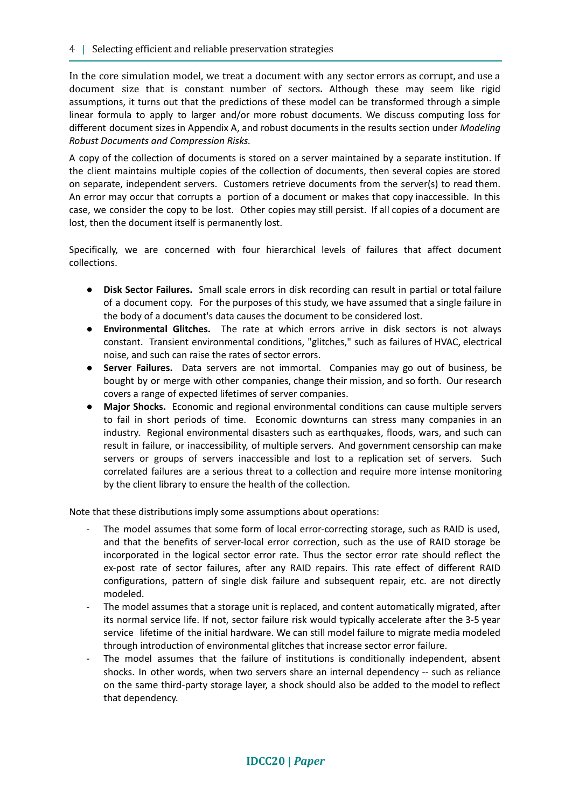In the core simulation model, we treat a document with any sector errors as corrupt, and use a document size that is constant number of sectors**.** Although these may seem like rigid assumptions, it turns out that the predictions of these model can be transformed through a simple linear formula to apply to larger and/or more robust documents. We discuss computing loss for different document sizes in Appendix A, and robust documents in the results section under *Modeling Robust Documents and Compression Risks.*

A copy of the collection of documents is stored on a server maintained by a separate institution. If the client maintains multiple copies of the collection of documents, then several copies are stored on separate, independent servers. Customers retrieve documents from the server(s) to read them. An error may occur that corrupts a portion of a document or makes that copy inaccessible. In this case, we consider the copy to be lost. Other copies may still persist. If all copies of a document are lost, then the document itself is permanently lost.

Specifically, we are concerned with four hierarchical levels of failures that affect document collections.

- **Disk Sector Failures.** Small scale errors in disk recording can result in partial or total failure of a document copy. For the purposes of this study, we have assumed that a single failure in the body of a document's data causes the document to be considered lost.
- **Environmental Glitches.** The rate at which errors arrive in disk sectors is not always constant. Transient environmental conditions, "glitches," such as failures of HVAC, electrical noise, and such can raise the rates of sector errors.
- **Server Failures.** Data servers are not immortal. Companies may go out of business, be bought by or merge with other companies, change their mission, and so forth. Our research covers a range of expected lifetimes of server companies.
- **Major Shocks.** Economic and regional environmental conditions can cause multiple servers to fail in short periods of time. Economic downturns can stress many companies in an industry. Regional environmental disasters such as earthquakes, floods, wars, and such can result in failure, or inaccessibility, of multiple servers. And government censorship can make servers or groups of servers inaccessible and lost to a replication set of servers. Such correlated failures are a serious threat to a collection and require more intense monitoring by the client library to ensure the health of the collection.

Note that these distributions imply some assumptions about operations:

- The model assumes that some form of local error-correcting storage, such as RAID is used, and that the benefits of server-local error correction, such as the use of RAID storage be incorporated in the logical sector error rate. Thus the sector error rate should reflect the ex-post rate of sector failures, after any RAID repairs. This rate effect of different RAID configurations, pattern of single disk failure and subsequent repair, etc. are not directly modeled.
- The model assumes that a storage unit is replaced, and content automatically migrated, after its normal service life. If not, sector failure risk would typically accelerate after the 3-5 year service lifetime of the initial hardware. We can still model failure to migrate media modeled through introduction of environmental glitches that increase sector error failure.
- The model assumes that the failure of institutions is conditionally independent, absent shocks. In other words, when two servers share an internal dependency -- such as reliance on the same third-party storage layer, a shock should also be added to the model to reflect that dependency.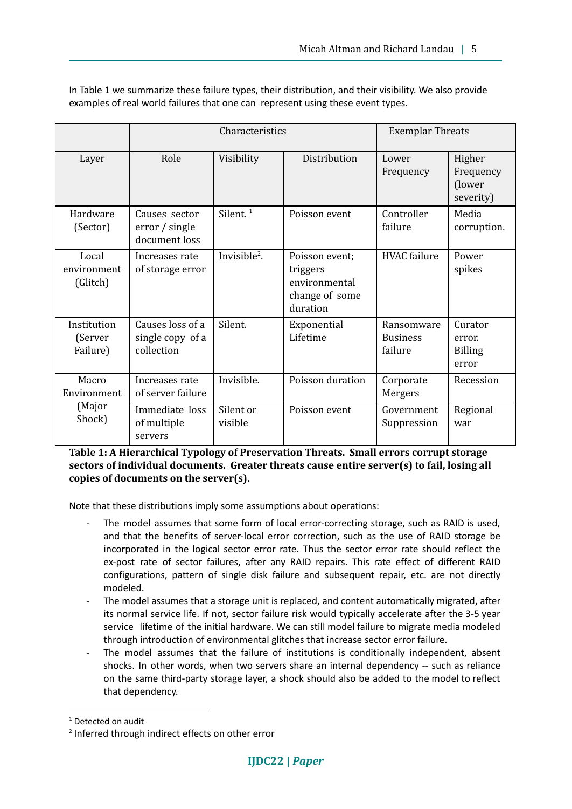|                                          | Characteristics                                    |                      |                                                                           | <b>Exemplar Threats</b>                  |                                              |  |
|------------------------------------------|----------------------------------------------------|----------------------|---------------------------------------------------------------------------|------------------------------------------|----------------------------------------------|--|
| Layer                                    | Role                                               | Visibility           | Distribution                                                              | Lower<br>Frequency                       | Higher<br>Frequency<br>(lower<br>severity)   |  |
| Hardware<br>(Sector)                     | Causes sector<br>error / single<br>document loss   | Silent. $1$          | Poisson event                                                             | Controller<br>failure                    | Media<br>corruption.                         |  |
| Local<br>environment<br>(Glitch)         | Increases rate<br>of storage error                 | Invisible $^2$ .     | Poisson event;<br>triggers<br>environmental<br>change of some<br>duration | <b>HVAC</b> failure                      | Power<br>spikes                              |  |
| Institution<br>(Server<br>Failure)       | Causes loss of a<br>single copy of a<br>collection | Silent.              | Exponential<br>Lifetime                                                   | Ransomware<br><b>Business</b><br>failure | Curator<br>error.<br><b>Billing</b><br>error |  |
| Macro<br>Environment<br>(Major<br>Shock) | Increases rate<br>of server failure                | Invisible.           | Poisson duration                                                          | Corporate<br>Mergers                     | Recession                                    |  |
|                                          | Immediate loss<br>of multiple<br>servers           | Silent or<br>visible | Poisson event                                                             | Government<br>Suppression                | Regional<br>war                              |  |

In Table 1 we summarize these failure types, their distribution, and their visibility. We also provide examples of real world failures that one can represent using these event types.

**Table 1: A Hierarchical Typology of Preservation Threats. Small errors corrupt storage sectors of individual documents. Greater threats cause entire server(s) to fail, losing all copies of documents on the server(s).**

Note that these distributions imply some assumptions about operations:

- The model assumes that some form of local error-correcting storage, such as RAID is used, and that the benefits of server-local error correction, such as the use of RAID storage be incorporated in the logical sector error rate. Thus the sector error rate should reflect the ex-post rate of sector failures, after any RAID repairs. This rate effect of different RAID configurations, pattern of single disk failure and subsequent repair, etc. are not directly modeled.
- The model assumes that a storage unit is replaced, and content automatically migrated, after its normal service life. If not, sector failure risk would typically accelerate after the 3-5 year service lifetime of the initial hardware. We can still model failure to migrate media modeled through introduction of environmental glitches that increase sector error failure.
- The model assumes that the failure of institutions is conditionally independent, absent shocks. In other words, when two servers share an internal dependency -- such as reliance on the same third-party storage layer, a shock should also be added to the model to reflect that dependency.

<sup>&</sup>lt;sup>1</sup> Detected on audit

<sup>2</sup> Inferred through indirect effects on other error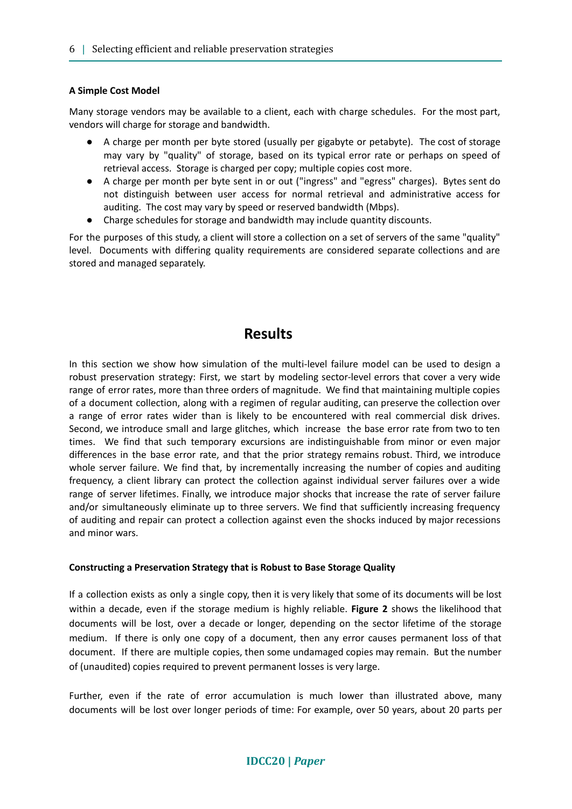#### **A Simple Cost Model**

Many storage vendors may be available to a client, each with charge schedules. For the most part, vendors will charge for storage and bandwidth.

- A charge per month per byte stored (usually per gigabyte or petabyte). The cost of storage may vary by "quality" of storage, based on its typical error rate or perhaps on speed of retrieval access. Storage is charged per copy; multiple copies cost more.
- A charge per month per byte sent in or out ("ingress" and "egress" charges). Bytes sent do not distinguish between user access for normal retrieval and administrative access for auditing. The cost may vary by speed or reserved bandwidth (Mbps).
- Charge schedules for storage and bandwidth may include quantity discounts.

For the purposes of this study, a client will store a collection on a set of servers of the same "quality" level. Documents with differing quality requirements are considered separate collections and are stored and managed separately.

### **Results**

In this section we show how simulation of the multi-level failure model can be used to design a robust preservation strategy: First, we start by modeling sector-level errors that cover a very wide range of error rates, more than three orders of magnitude. We find that maintaining multiple copies of a document collection, along with a regimen of regular auditing, can preserve the collection over a range of error rates wider than is likely to be encountered with real commercial disk drives. Second, we introduce small and large glitches, which increase the base error rate from two to ten times. We find that such temporary excursions are indistinguishable from minor or even major differences in the base error rate, and that the prior strategy remains robust. Third, we introduce whole server failure. We find that, by incrementally increasing the number of copies and auditing frequency, a client library can protect the collection against individual server failures over a wide range of server lifetimes. Finally, we introduce major shocks that increase the rate of server failure and/or simultaneously eliminate up to three servers. We find that sufficiently increasing frequency of auditing and repair can protect a collection against even the shocks induced by major recessions and minor wars.

#### **Constructing a Preservation Strategy that is Robust to Base Storage Quality**

If a collection exists as only a single copy, then it is very likely that some of its documents will be lost within a decade, even if the storage medium is highly reliable. **Figure 2** shows the likelihood that documents will be lost, over a decade or longer, depending on the sector lifetime of the storage medium. If there is only one copy of a document, then any error causes permanent loss of that document. If there are multiple copies, then some undamaged copies may remain. But the number of (unaudited) copies required to prevent permanent losses is very large.

Further, even if the rate of error accumulation is much lower than illustrated above, many documents will be lost over longer periods of time: For example, over 50 years, about 20 parts per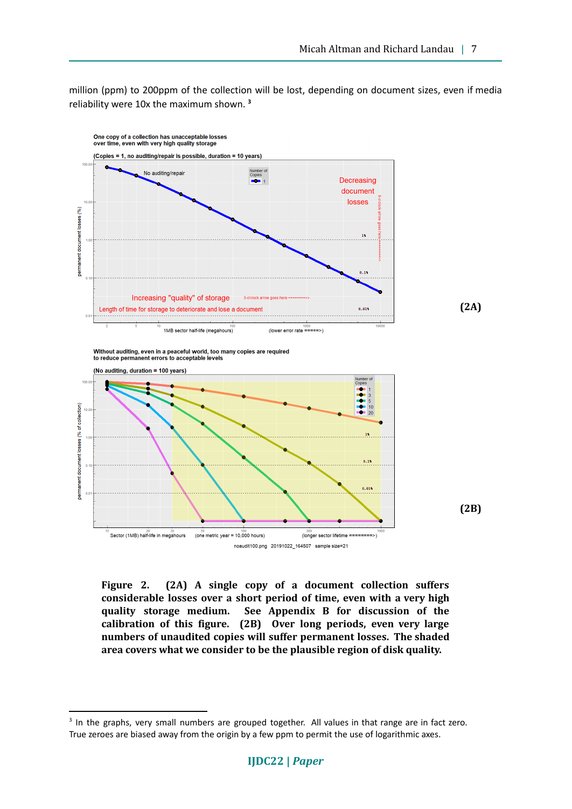million (ppm) to 200ppm of the collection will be lost, depending on document sizes, even if media reliability were 10x the maximum shown. **3**



**Figure 2. (2A) A single copy of a document collection suffers considerable losses over a short period of time, even with a very high quality storage medium. See Appendix B for discussion of the calibration of this figure. (2B) Over long periods, even very large numbers of unaudited copies will suffer permanent losses. The shaded area covers what we consider to be the plausible region of disk quality.**

<sup>&</sup>lt;sup>3</sup> In the graphs, very small numbers are grouped together. All values in that range are in fact zero. True zeroes are biased away from the origin by a few ppm to permit the use of logarithmic axes.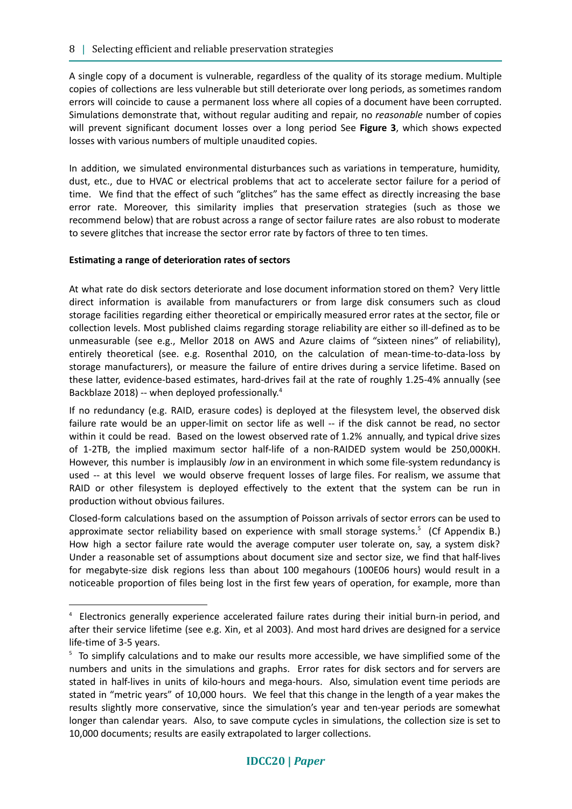A single copy of a document is vulnerable, regardless of the quality of its storage medium. Multiple copies of collections are less vulnerable but still deteriorate over long periods, as sometimes random errors will coincide to cause a permanent loss where all copies of a document have been corrupted. Simulations demonstrate that, without regular auditing and repair, no *reasonable* number of copies will prevent significant document losses over a long period See **Figure 3**, which shows expected losses with various numbers of multiple unaudited copies.

In addition, we simulated environmental disturbances such as variations in temperature, humidity, dust, etc., due to HVAC or electrical problems that act to accelerate sector failure for a period of time. We find that the effect of such "glitches" has the same effect as directly increasing the base error rate. Moreover, this similarity implies that preservation strategies (such as those we recommend below) that are robust across a range of sector failure rates are also robust to moderate to severe glitches that increase the sector error rate by factors of three to ten times.

#### **Estimating a range of deterioration rates of sectors**

At what rate do disk sectors deteriorate and lose document information stored on them? Very little direct information is available from manufacturers or from large disk consumers such as cloud storage facilities regarding either theoretical or empirically measured error rates at the sector, file or collection levels. Most published claims regarding storage reliability are either so ill-defined as to be unmeasurable (see e.g., Mellor 2018 on AWS and Azure claims of "sixteen nines" of reliability), entirely theoretical (see. e.g. Rosenthal 2010, on the calculation of mean-time-to-data-loss by storage manufacturers), or measure the failure of entire drives during a service lifetime. Based on these latter, evidence-based estimates, hard-drives fail at the rate of roughly 1.25-4% annually (see Backblaze 2018) -- when deployed professionally.<sup>4</sup>

If no redundancy (e.g. RAID, erasure codes) is deployed at the filesystem level, the observed disk failure rate would be an upper-limit on sector life as well -- if the disk cannot be read, no sector within it could be read. Based on the lowest observed rate of 1.2% annually, and typical drive sizes of 1-2TB, the implied maximum sector half-life of a non-RAIDED system would be 250,000KH. However, this number is implausibly *low* in an environment in which some file-system redundancy is used -- at this level we would observe frequent losses of large files. For realism, we assume that RAID or other filesystem is deployed effectively to the extent that the system can be run in production without obvious failures.

Closed-form calculations based on the assumption of Poisson arrivals of sector errors can be used to approximate sector reliability based on experience with small storage systems.<sup>5</sup> (Cf Appendix B.) How high a sector failure rate would the average computer user tolerate on, say, a system disk? Under a reasonable set of assumptions about document size and sector size, we find that half-lives for megabyte-size disk regions less than about 100 megahours (100E06 hours) would result in a noticeable proportion of files being lost in the first few years of operation, for example, more than

<sup>4</sup> Electronics generally experience accelerated failure rates during their initial burn-in period, and after their service lifetime (see e.g. Xin, et al 2003). And most hard drives are designed for a service life-time of 3-5 years.

<sup>&</sup>lt;sup>5</sup> To simplify calculations and to make our results more accessible, we have simplified some of the numbers and units in the simulations and graphs. Error rates for disk sectors and for servers are stated in half-lives in units of kilo-hours and mega-hours. Also, simulation event time periods are stated in "metric years" of 10,000 hours. We feel that this change in the length of a year makes the results slightly more conservative, since the simulation's year and ten-year periods are somewhat longer than calendar years. Also, to save compute cycles in simulations, the collection size is set to 10,000 documents; results are easily extrapolated to larger collections.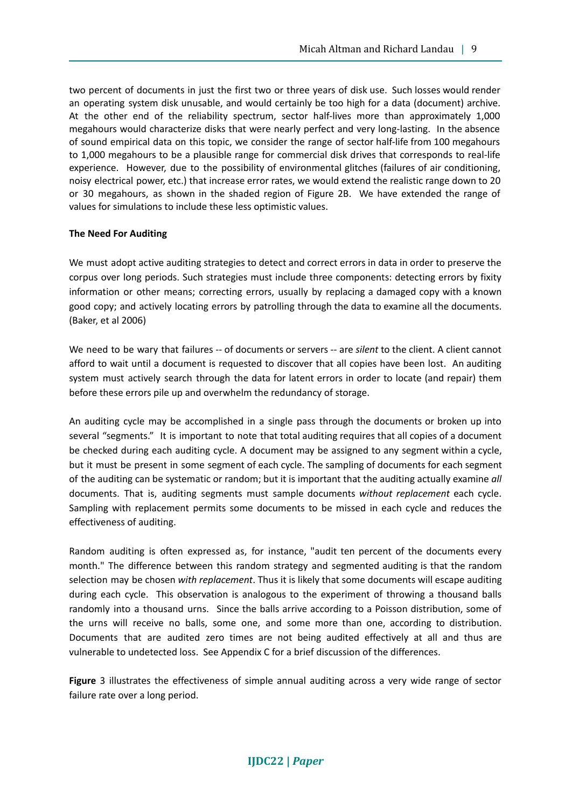two percent of documents in just the first two or three years of disk use. Such losses would render an operating system disk unusable, and would certainly be too high for a data (document) archive. At the other end of the reliability spectrum, sector half-lives more than approximately 1,000 megahours would characterize disks that were nearly perfect and very long-lasting. In the absence of sound empirical data on this topic, we consider the range of sector half-life from 100 megahours to 1,000 megahours to be a plausible range for commercial disk drives that corresponds to real-life experience. However, due to the possibility of environmental glitches (failures of air conditioning, noisy electrical power, etc.) that increase error rates, we would extend the realistic range down to 20 or 30 megahours, as shown in the shaded region of Figure 2B. We have extended the range of values for simulations to include these less optimistic values.

#### **The Need For Auditing**

We must adopt active auditing strategies to detect and correct errors in data in order to preserve the corpus over long periods. Such strategies must include three components: detecting errors by fixity information or other means; correcting errors, usually by replacing a damaged copy with a known good copy; and actively locating errors by patrolling through the data to examine all the documents. (Baker, et al 2006)

We need to be wary that failures -- of documents or servers -- are *silent* to the client. A client cannot afford to wait until a document is requested to discover that all copies have been lost. An auditing system must actively search through the data for latent errors in order to locate (and repair) them before these errors pile up and overwhelm the redundancy of storage.

An auditing cycle may be accomplished in a single pass through the documents or broken up into several "segments." It is important to note that total auditing requires that all copies of a document be checked during each auditing cycle. A document may be assigned to any segment within a cycle, but it must be present in some segment of each cycle. The sampling of documents for each segment of the auditing can be systematic or random; but it is important that the auditing actually examine *all* documents. That is, auditing segments must sample documents *without replacement* each cycle. Sampling with replacement permits some documents to be missed in each cycle and reduces the effectiveness of auditing.

Random auditing is often expressed as, for instance, "audit ten percent of the documents every month." The difference between this random strategy and segmented auditing is that the random selection may be chosen *with replacement*. Thus it is likely that some documents will escape auditing during each cycle. This observation is analogous to the experiment of throwing a thousand balls randomly into a thousand urns. Since the balls arrive according to a Poisson distribution, some of the urns will receive no balls, some one, and some more than one, according to distribution. Documents that are audited zero times are not being audited effectively at all and thus are vulnerable to undetected loss. See Appendix C for a brief discussion of the differences.

**Figure** 3 illustrates the effectiveness of simple annual auditing across a very wide range of sector failure rate over a long period.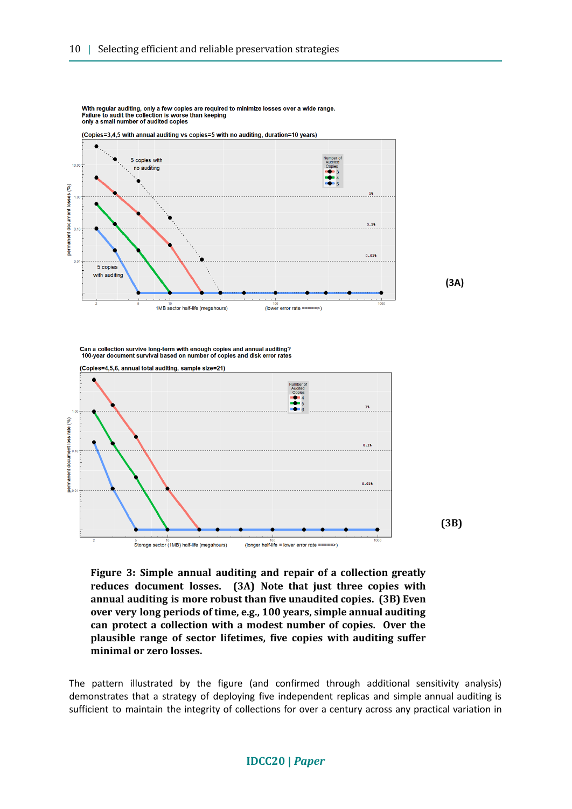

With regular auditing, only a few copies are reguired to minimize losses over a wide range. Failure to audit the collection is worse than keeping<br>only a small number of audited copies

**(3A)**

Can a collection survive long-term with enough copies and annual auditing?<br>100-year document survival based on number of copies and disk error rates



**Figure 3: Simple annual auditing and repair of a collection greatly reduces document losses. (3A) Note that just three copies with annual auditing is more robust than five unaudited copies. (3B) Even over very long periods of time, e.g., 100 years, simple annual auditing can protect a collection with a modest number of copies. Over the plausible range of sector lifetimes, five copies with auditing suffer minimal or zero losses.**

The pattern illustrated by the figure (and confirmed through additional sensitivity analysis) demonstrates that a strategy of deploying five independent replicas and simple annual auditing is sufficient to maintain the integrity of collections for over a century across any practical variation in

#### **IDCC20 |** *Paper*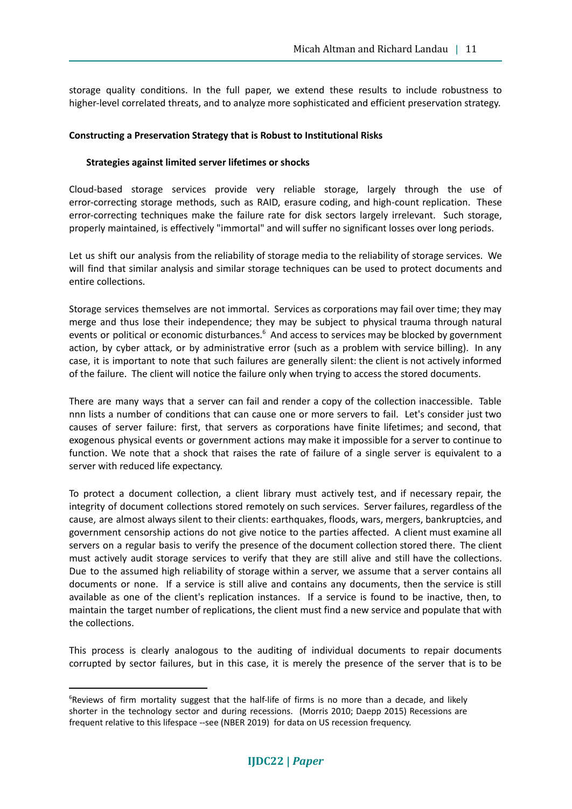storage quality conditions. In the full paper, we extend these results to include robustness to higher-level correlated threats, and to analyze more sophisticated and efficient preservation strategy.

#### **Constructing a Preservation Strategy that is Robust to Institutional Risks**

#### **Strategies against limited server lifetimes or shocks**

Cloud-based storage services provide very reliable storage, largely through the use of error-correcting storage methods, such as RAID, erasure coding, and high-count replication. These error-correcting techniques make the failure rate for disk sectors largely irrelevant. Such storage, properly maintained, is effectively "immortal" and will suffer no significant losses over long periods.

Let us shift our analysis from the reliability of storage media to the reliability of storage services. We will find that similar analysis and similar storage techniques can be used to protect documents and entire collections.

Storage services themselves are not immortal. Services as corporations may fail over time; they may merge and thus lose their independence; they may be subject to physical trauma through natural events or political or economic disturbances. $<sup>6</sup>$  And access to services may be blocked by government</sup> action, by cyber attack, or by administrative error (such as a problem with service billing). In any case, it is important to note that such failures are generally silent: the client is not actively informed of the failure. The client will notice the failure only when trying to access the stored documents.

There are many ways that a server can fail and render a copy of the collection inaccessible. Table nnn lists a number of conditions that can cause one or more servers to fail. Let's consider just two causes of server failure: first, that servers as corporations have finite lifetimes; and second, that exogenous physical events or government actions may make it impossible for a server to continue to function. We note that a shock that raises the rate of failure of a single server is equivalent to a server with reduced life expectancy.

To protect a document collection, a client library must actively test, and if necessary repair, the integrity of document collections stored remotely on such services. Server failures, regardless of the cause, are almost always silent to their clients: earthquakes, floods, wars, mergers, bankruptcies, and government censorship actions do not give notice to the parties affected. A client must examine all servers on a regular basis to verify the presence of the document collection stored there. The client must actively audit storage services to verify that they are still alive and still have the collections. Due to the assumed high reliability of storage within a server, we assume that a server contains all documents or none. If a service is still alive and contains any documents, then the service is still available as one of the client's replication instances. If a service is found to be inactive, then, to maintain the target number of replications, the client must find a new service and populate that with the collections.

This process is clearly analogous to the auditing of individual documents to repair documents corrupted by sector failures, but in this case, it is merely the presence of the server that is to be

<sup>&</sup>lt;sup>6</sup>Reviews of firm mortality suggest that the half-life of firms is no more than a decade, and likely shorter in the technology sector and during recessions. (Morris 2010; Daepp 2015) Recessions are frequent relative to this lifespace --see (NBER 2019) for data on US recession frequency.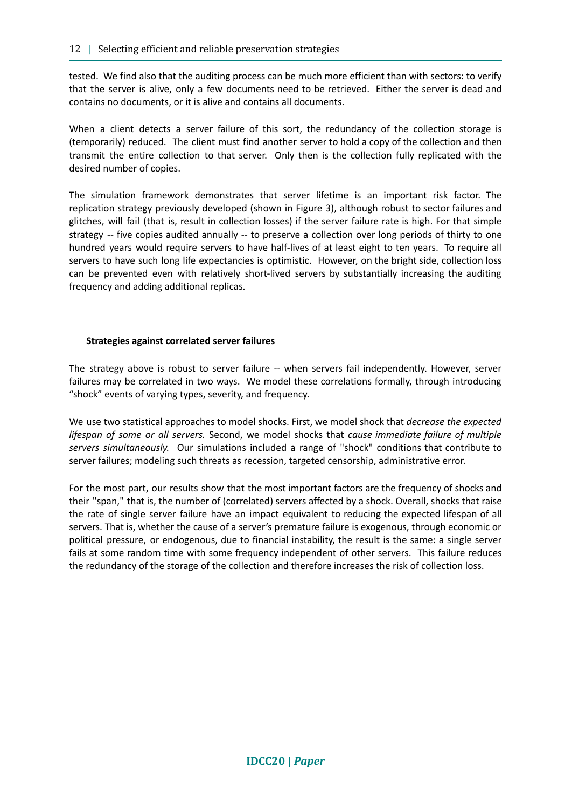tested. We find also that the auditing process can be much more efficient than with sectors: to verify that the server is alive, only a few documents need to be retrieved. Either the server is dead and contains no documents, or it is alive and contains all documents.

When a client detects a server failure of this sort, the redundancy of the collection storage is (temporarily) reduced. The client must find another server to hold a copy of the collection and then transmit the entire collection to that server. Only then is the collection fully replicated with the desired number of copies.

The simulation framework demonstrates that server lifetime is an important risk factor. The replication strategy previously developed (shown in Figure 3), although robust to sector failures and glitches, will fail (that is, result in collection losses) if the server failure rate is high. For that simple strategy -- five copies audited annually -- to preserve a collection over long periods of thirty to one hundred years would require servers to have half-lives of at least eight to ten years. To require all servers to have such long life expectancies is optimistic. However, on the bright side, collection loss can be prevented even with relatively short-lived servers by substantially increasing the auditing frequency and adding additional replicas.

#### **Strategies against correlated server failures**

The strategy above is robust to server failure -- when servers fail independently. However, server failures may be correlated in two ways. We model these correlations formally, through introducing "shock" events of varying types, severity, and frequency.

We use two statistical approaches to model shocks. First, we model shock that *decrease the expected lifespan of some or all servers.* Second, we model shocks that *cause immediate failure of multiple servers simultaneously.* Our simulations included a range of "shock" conditions that contribute to server failures; modeling such threats as recession, targeted censorship, administrative error.

For the most part, our results show that the most important factors are the frequency of shocks and their "span," that is, the number of (correlated) servers affected by a shock. Overall, shocks that raise the rate of single server failure have an impact equivalent to reducing the expected lifespan of all servers. That is, whether the cause of a server's premature failure is exogenous, through economic or political pressure, or endogenous, due to financial instability, the result is the same: a single server fails at some random time with some frequency independent of other servers. This failure reduces the redundancy of the storage of the collection and therefore increases the risk of collection loss.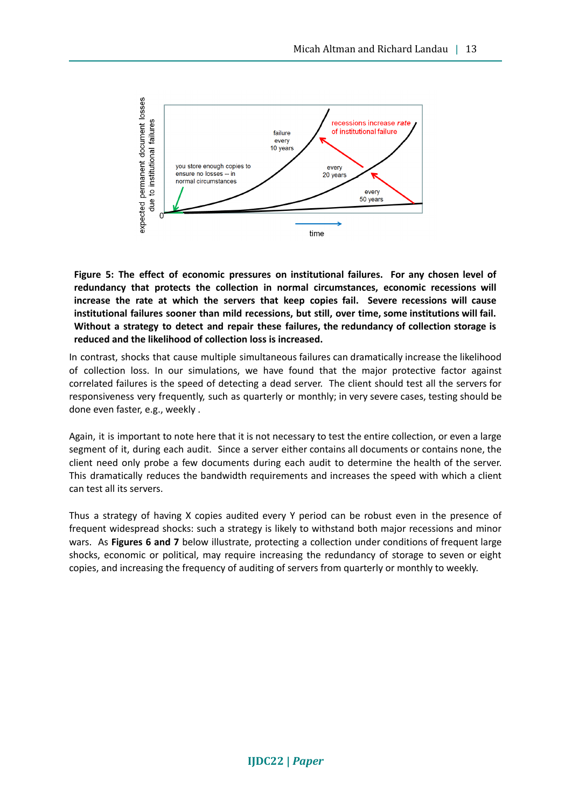

**Figure 5: The effect of economic pressures on institutional failures. For any chosen level of redundancy that protects the collection in normal circumstances, economic recessions will increase the rate at which the servers that keep copies fail. Severe recessions will cause institutional failures sooner than mild recessions, but still, over time, some institutions will fail. Without a strategy to detect and repair these failures, the redundancy of collection storage is reduced and the likelihood of collection loss is increased.**

In contrast, shocks that cause multiple simultaneous failures can dramatically increase the likelihood of collection loss. In our simulations, we have found that the major protective factor against correlated failures is the speed of detecting a dead server. The client should test all the servers for responsiveness very frequently, such as quarterly or monthly; in very severe cases, testing should be done even faster, e.g., weekly .

Again, it is important to note here that it is not necessary to test the entire collection, or even a large segment of it, during each audit. Since a server either contains all documents or contains none, the client need only probe a few documents during each audit to determine the health of the server. This dramatically reduces the bandwidth requirements and increases the speed with which a client can test all its servers.

Thus a strategy of having X copies audited every Y period can be robust even in the presence of frequent widespread shocks: such a strategy is likely to withstand both major recessions and minor wars. As **Figures 6 and 7** below illustrate, protecting a collection under conditions of frequent large shocks, economic or political, may require increasing the redundancy of storage to seven or eight copies, and increasing the frequency of auditing of servers from quarterly or monthly to weekly.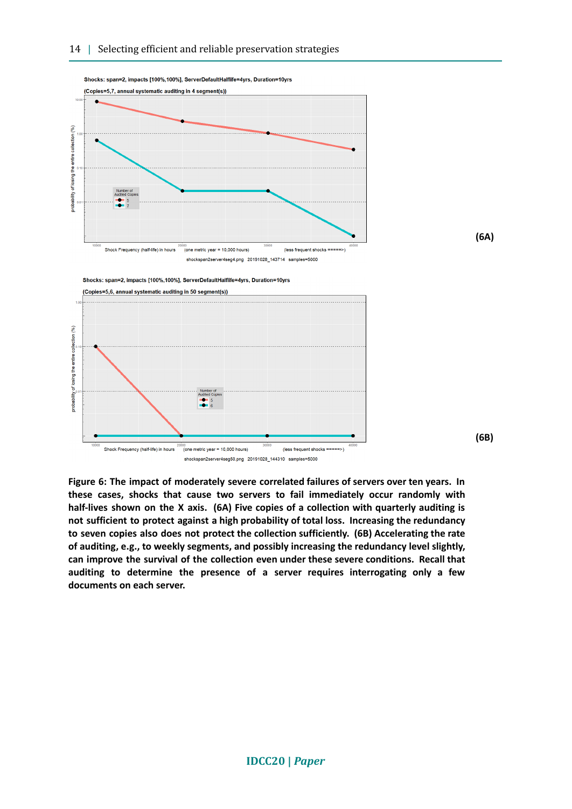

Shocks: span=2, impacts [100%,100%], ServerDefaultHalflife=4yrs, Duration=10yrs

**(6A)**

**(6B)**

Shocks: span=2, impacts [100%,100%], ServerDefaultHalflife=4yrs, Duration=10yrs



**Figure 6: The impact of moderately severe correlated failures of servers over ten years. In these cases, shocks that cause two servers to fail immediately occur randomly with half-lives shown on the X axis. (6A) Five copies of a collection with quarterly auditing is not sufficient to protect against a high probability of total loss. Increasing the redundancy to seven copies also does not protect the collection sufficiently. (6B) Accelerating the rate of auditing, e.g., to weekly segments, and possibly increasing the redundancy level slightly, can improve the survival of the collection even under these severe conditions. Recall that auditing to determine the presence of a server requires interrogating only a few documents on each server.**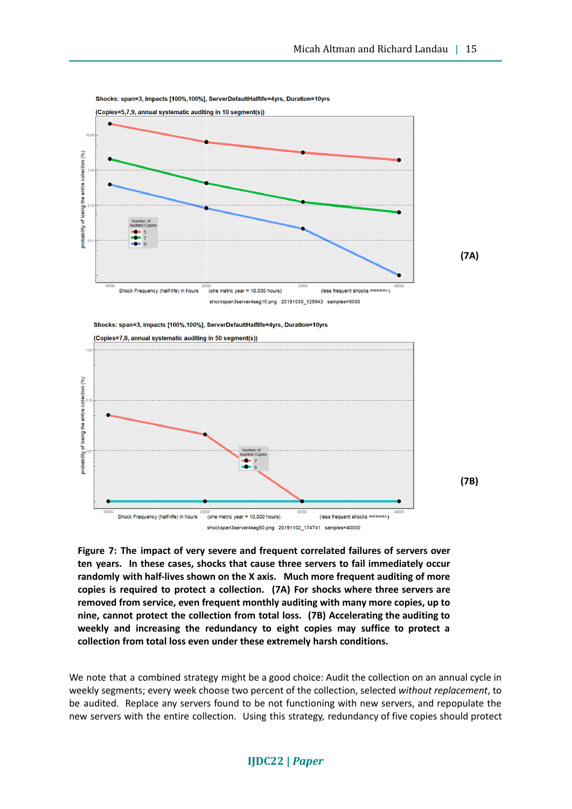

Shocks: span=3. impacts [100%.100%]. ServerDefaultHalflife=4yrs. Duration=10yrs



**Figure 7: The impact of very severe and frequent correlated failures of servers over ten years. In these cases, shocks that cause three servers to fail immediately occur randomly with half-lives shown on the X axis. Much more frequent auditing of more copies is required to protect a collection. (7A) For shocks where three servers are removed from service, even frequent monthly auditing with many more copies, up to nine, cannot protect the collection from total loss. (7B) Accelerating the auditing to weekly and increasing the redundancy to eight copies may suffice to protect a collection from total loss even under these extremely harsh conditions.**

We note that a combined strategy might be a good choice: Audit the collection on an annual cycle in weekly segments; every week choose two percent of the collection, selected *without replacement*, to be audited. Replace any servers found to be not functioning with new servers, and repopulate the new servers with the entire collection. Using this strategy, redundancy of five copies should protect

#### **IJDC22 |** *Paper*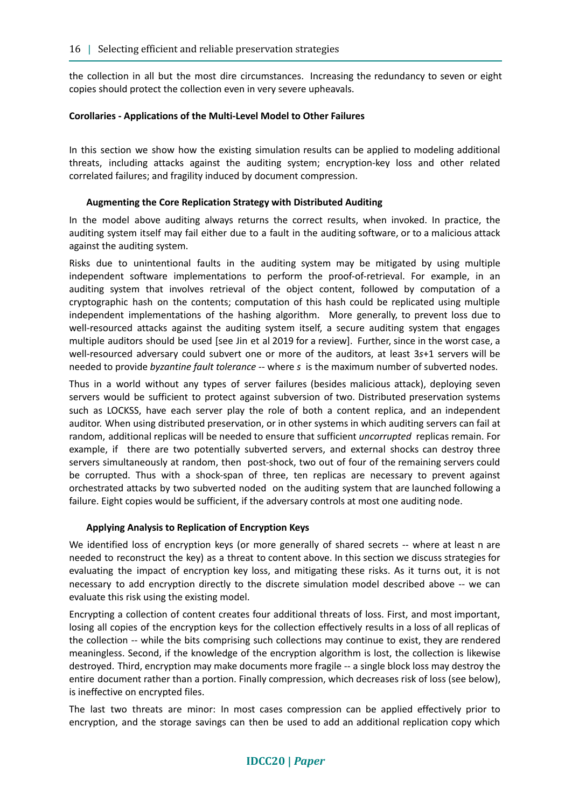the collection in all but the most dire circumstances. Increasing the redundancy to seven or eight copies should protect the collection even in very severe upheavals.

#### **Corollaries - Applications of the Multi-Level Model to Other Failures**

In this section we show how the existing simulation results can be applied to modeling additional threats, including attacks against the auditing system; encryption-key loss and other related correlated failures; and fragility induced by document compression.

#### **Augmenting the Core Replication Strategy with Distributed Auditing**

In the model above auditing always returns the correct results, when invoked. In practice, the auditing system itself may fail either due to a fault in the auditing software, or to a malicious attack against the auditing system.

Risks due to unintentional faults in the auditing system may be mitigated by using multiple independent software implementations to perform the proof-of-retrieval. For example, in an auditing system that involves retrieval of the object content, followed by computation of a cryptographic hash on the contents; computation of this hash could be replicated using multiple independent implementations of the hashing algorithm. More generally, to prevent loss due to well-resourced attacks against the auditing system itself, a secure auditing system that engages multiple auditors should be used [see Jin et al 2019 for a review]. Further, since in the worst case, a well-resourced adversary could subvert one or more of the auditors, at least 3*s*+1 servers will be needed to provide *byzantine fault tolerance --* where *s* is the maximum number of subverted nodes.

Thus in a world without any types of server failures (besides malicious attack), deploying seven servers would be sufficient to protect against subversion of two. Distributed preservation systems such as LOCKSS, have each server play the role of both a content replica, and an independent auditor. When using distributed preservation, or in other systems in which auditing servers can fail at random, additional replicas will be needed to ensure that sufficient *uncorrupted* replicas remain. For example, if there are two potentially subverted servers, and external shocks can destroy three servers simultaneously at random, then post-shock, two out of four of the remaining servers could be corrupted. Thus with a shock-span of three, ten replicas are necessary to prevent against orchestrated attacks by two subverted noded on the auditing system that are launched following a failure. Eight copies would be sufficient, if the adversary controls at most one auditing node.

#### **Applying Analysis to Replication of Encryption Keys**

We identified loss of encryption keys (or more generally of shared secrets -- where at least n are needed to reconstruct the key) as a threat to content above. In this section we discuss strategies for evaluating the impact of encryption key loss, and mitigating these risks. As it turns out, it is not necessary to add encryption directly to the discrete simulation model described above -- we can evaluate this risk using the existing model.

Encrypting a collection of content creates four additional threats of loss. First, and most important, losing all copies of the encryption keys for the collection effectively results in a loss of all replicas of the collection -- while the bits comprising such collections may continue to exist, they are rendered meaningless. Second, if the knowledge of the encryption algorithm is lost, the collection is likewise destroyed. Third, encryption may make documents more fragile -- a single block loss may destroy the entire document rather than a portion. Finally compression, which decreases risk of loss (see below), is ineffective on encrypted files.

The last two threats are minor: In most cases compression can be applied effectively prior to encryption, and the storage savings can then be used to add an additional replication copy which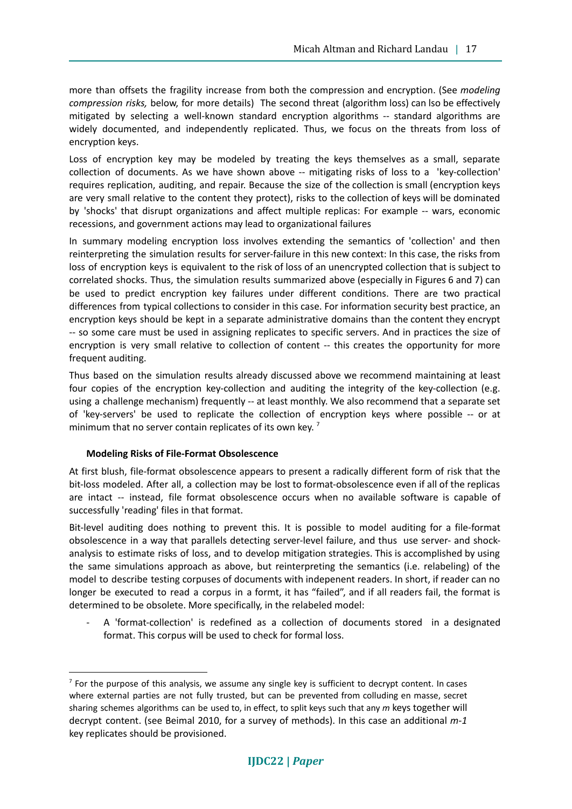more than offsets the fragility increase from both the compression and encryption. (See *modeling compression risks,* below, for more details) The second threat (algorithm loss) can lso be effectively mitigated by selecting a well-known standard encryption algorithms -- standard algorithms are widely documented, and independently replicated. Thus, we focus on the threats from loss of encryption keys.

Loss of encryption key may be modeled by treating the keys themselves as a small, separate collection of documents. As we have shown above -- mitigating risks of loss to a 'key-collection' requires replication, auditing, and repair. Because the size of the collection is small (encryption keys are very small relative to the content they protect), risks to the collection of keys will be dominated by 'shocks' that disrupt organizations and affect multiple replicas: For example -- wars, economic recessions, and government actions may lead to organizational failures

In summary modeling encryption loss involves extending the semantics of 'collection' and then reinterpreting the simulation results for server-failure in this new context: In this case, the risks from loss of encryption keys is equivalent to the risk of loss of an unencrypted collection that is subject to correlated shocks. Thus, the simulation results summarized above (especially in Figures 6 and 7) can be used to predict encryption key failures under different conditions. There are two practical differences from typical collections to consider in this case. For information security best practice, an encryption keys should be kept in a separate administrative domains than the content they encrypt -- so some care must be used in assigning replicates to specific servers. And in practices the size of encryption is very small relative to collection of content -- this creates the opportunity for more frequent auditing.

Thus based on the simulation results already discussed above we recommend maintaining at least four copies of the encryption key-collection and auditing the integrity of the key-collection (e.g. using a challenge mechanism) frequently -- at least monthly. We also recommend that a separate set of 'key-servers' be used to replicate the collection of encryption keys where possible -- or at minimum that no server contain replicates of its own key.<sup>7</sup>

#### **Modeling Risks of File-Format Obsolescence**

At first blush, file-format obsolescence appears to present a radically different form of risk that the bit-loss modeled. After all, a collection may be lost to format-obsolescence even if all of the replicas are intact -- instead, file format obsolescence occurs when no available software is capable of successfully 'reading' files in that format.

Bit-level auditing does nothing to prevent this. It is possible to model auditing for a file-format obsolescence in a way that parallels detecting server-level failure, and thus use server- and shockanalysis to estimate risks of loss, and to develop mitigation strategies. This is accomplished by using the same simulations approach as above, but reinterpreting the semantics (i.e. relabeling) of the model to describe testing corpuses of documents with indepenent readers. In short, if reader can no longer be executed to read a corpus in a formt, it has "failed", and if all readers fail, the format is determined to be obsolete. More specifically, in the relabeled model:

A 'format-collection' is redefined as a collection of documents stored in a designated format. This corpus will be used to check for formal loss.

 $<sup>7</sup>$  For the purpose of this analysis, we assume any single key is sufficient to decrypt content. In cases</sup> where external parties are not fully trusted, but can be prevented from colluding en masse, secret sharing schemes algorithms can be used to, in effect, to split keys such that any *m* keys together will decrypt content. (see Beimal 2010, for a survey of methods). In this case an additional *m-1* key replicates should be provisioned.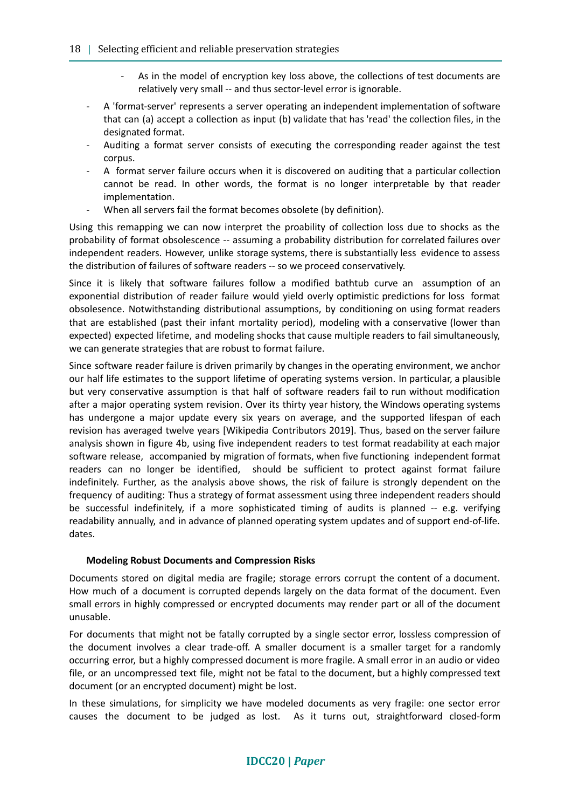#### 18 | Selecting efficient and reliable preservation strategies

- As in the model of encryption key loss above, the collections of test documents are relatively very small -- and thus sector-level error is ignorable.
- A 'format-server' represents a server operating an independent implementation of software that can (a) accept a collection as input (b) validate that has 'read' the collection files, in the designated format.
- Auditing a format server consists of executing the corresponding reader against the test corpus.
- A format server failure occurs when it is discovered on auditing that a particular collection cannot be read. In other words, the format is no longer interpretable by that reader implementation.
- When all servers fail the format becomes obsolete (by definition).

Using this remapping we can now interpret the proability of collection loss due to shocks as the probability of format obsolescence -- assuming a probability distribution for correlated failures over independent readers. However, unlike storage systems, there is substantially less evidence to assess the distribution of failures of software readers -- so we proceed conservatively.

Since it is likely that software failures follow a modified bathtub curve an assumption of an exponential distribution of reader failure would yield overly optimistic predictions for loss format obsolesence. Notwithstanding distributional assumptions, by conditioning on using format readers that are established (past their infant mortality period), modeling with a conservative (lower than expected) expected lifetime, and modeling shocks that cause multiple readers to fail simultaneously, we can generate strategies that are robust to format failure.

Since software reader failure is driven primarily by changes in the operating environment, we anchor our half life estimates to the support lifetime of operating systems version. In particular, a plausible but very conservative assumption is that half of software readers fail to run without modification after a major operating system revision. Over its thirty year history, the Windows operating systems has undergone a major update every six years on average, and the supported lifespan of each revision has averaged twelve years [Wikipedia Contributors 2019]. Thus, based on the server failure analysis shown in figure 4b, using five independent readers to test format readability at each major software release, accompanied by migration of formats, when five functioning independent format readers can no longer be identified, should be sufficient to protect against format failure indefinitely. Further, as the analysis above shows, the risk of failure is strongly dependent on the frequency of auditing: Thus a strategy of format assessment using three independent readers should be successful indefinitely, if a more sophisticated timing of audits is planned -- e.g. verifying readability annually, and in advance of planned operating system updates and of support end-of-life. dates.

#### **Modeling Robust Documents and Compression Risks**

Documents stored on digital media are fragile; storage errors corrupt the content of a document. How much of a document is corrupted depends largely on the data format of the document. Even small errors in highly compressed or encrypted documents may render part or all of the document unusable.

For documents that might not be fatally corrupted by a single sector error, lossless compression of the document involves a clear trade-off. A smaller document is a smaller target for a randomly occurring error, but a highly compressed document is more fragile. A small error in an audio or video file, or an uncompressed text file, might not be fatal to the document, but a highly compressed text document (or an encrypted document) might be lost.

In these simulations, for simplicity we have modeled documents as very fragile: one sector error causes the document to be judged as lost. As it turns out, straightforward closed-form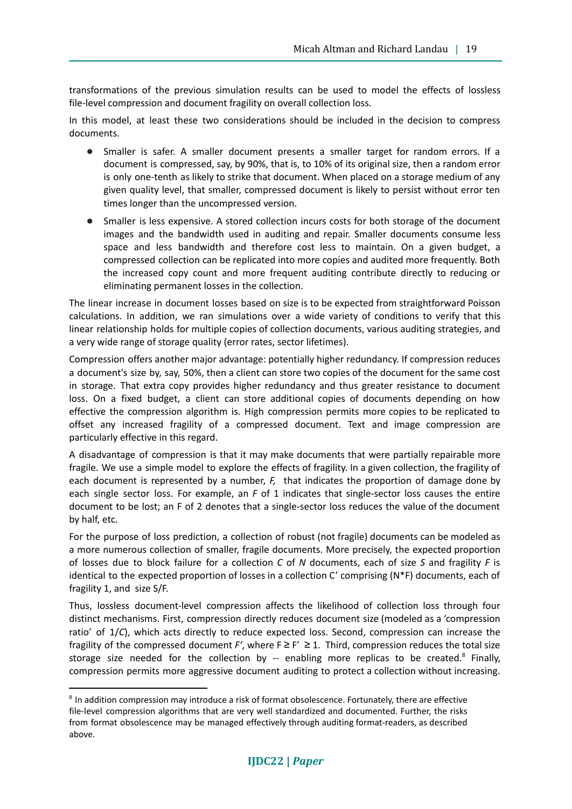transformations of the previous simulation results can be used to model the effects of lossless file-level compression and document fragility on overall collection loss.

In this model, at least these two considerations should be included in the decision to compress documents.

- Smaller is safer. A smaller document presents a smaller target for random errors. If a document is compressed, say, by 90%, that is, to 10% of its original size, then a random error is only one-tenth as likely to strike that document. When placed on a storage medium of any given quality level, that smaller, compressed document is likely to persist without error ten times longer than the uncompressed version.
- Smaller is less expensive. A stored collection incurs costs for both storage of the document images and the bandwidth used in auditing and repair. Smaller documents consume less space and less bandwidth and therefore cost less to maintain. On a given budget, a compressed collection can be replicated into more copies and audited more frequently. Both the increased copy count and more frequent auditing contribute directly to reducing or eliminating permanent losses in the collection.

The linear increase in document losses based on size is to be expected from straightforward Poisson calculations. In addition, we ran simulations over a wide variety of conditions to verify that this linear relationship holds for multiple copies of collection documents, various auditing strategies, and a very wide range of storage quality (error rates, sector lifetimes).

Compression offers another major advantage: potentially higher redundancy. If compression reduces a document's size by, say, 50%, then a client can store two copies of the document for the same cost in storage. That extra copy provides higher redundancy and thus greater resistance to document loss. On a fixed budget, a client can store additional copies of documents depending on how effective the compression algorithm is. High compression permits more copies to be replicated to offset any increased fragility of a compressed document. Text and image compression are particularly effective in this regard.

A disadvantage of compression is that it may make documents that were partially repairable more fragile. We use a simple model to explore the effects of fragility. In a given collection, the fragility of each document is represented by a number, *F,* that indicates the proportion of damage done by each single sector loss. For example, an *F* of 1 indicates that single-sector loss causes the entire document to be lost; an F of 2 denotes that a single-sector loss reduces the value of the document by half, etc.

For the purpose of loss prediction, a collection of robust (not fragile) documents can be modeled as a more numerous collection of smaller, fragile documents. More precisely, the expected proportion of losses due to block failure for a collection *C* of *N* documents, each of size *S* and fragility *F* is identical to the expected proportion of losses in a collection C' comprising  $(N^*F)$  documents, each of fragility 1, and size S/F.

Thus, lossless document-level compression affects the likelihood of collection loss through four distinct mechanisms. First, compression directly reduces document size (modeled as a 'compression ratio' of 1/*C*), which acts directly to reduce expected loss. Second, compression can increase the fragility of the compressed document  $F'$ , where  $F \ge F' \ge 1$ . Third, compression reduces the total size storage size needed for the collection by -- enabling more replicas to be created.<sup>8</sup> Finally, compression permits more aggressive document auditing to protect a collection without increasing.

<sup>&</sup>lt;sup>8</sup> In addition compression may introduce a risk of format obsolescence. Fortunately, there are effective file-level compression algorithms that are very well standardized and documented. Further, the risks from format obsolescence may be managed effectively through auditing format-readers, as described above.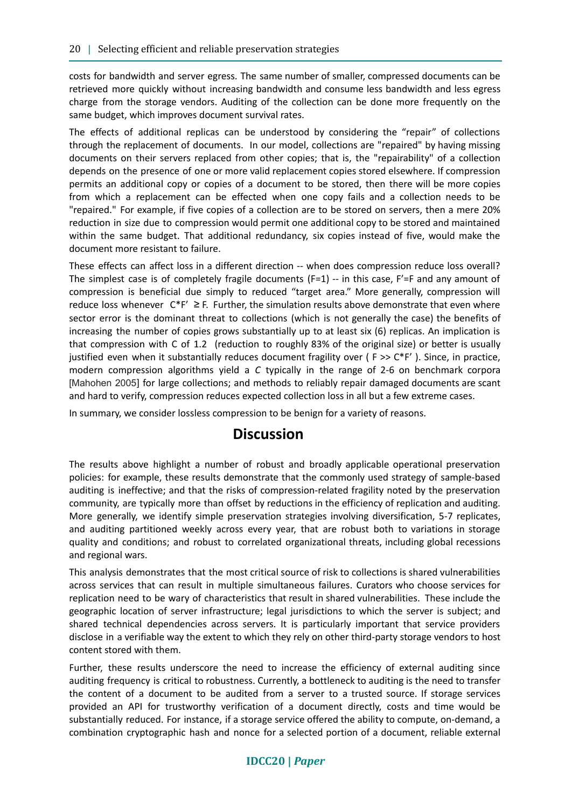costs for bandwidth and server egress. The same number of smaller, compressed documents can be retrieved more quickly without increasing bandwidth and consume less bandwidth and less egress charge from the storage vendors. Auditing of the collection can be done more frequently on the same budget, which improves document survival rates.

The effects of additional replicas can be understood by considering the "repair" of collections through the replacement of documents. In our model, collections are "repaired" by having missing documents on their servers replaced from other copies; that is, the "repairability" of a collection depends on the presence of one or more valid replacement copies stored elsewhere. If compression permits an additional copy or copies of a document to be stored, then there will be more copies from which a replacement can be effected when one copy fails and a collection needs to be "repaired." For example, if five copies of a collection are to be stored on servers, then a mere 20% reduction in size due to compression would permit one additional copy to be stored and maintained within the same budget. That additional redundancy, six copies instead of five, would make the document more resistant to failure.

These effects can affect loss in a different direction -- when does compression reduce loss overall? The simplest case is of completely fragile documents  $(F=1)$  -- in this case,  $F'=F$  and any amount of compression is beneficial due simply to reduced "target area." More generally, compression will reduce loss whenever  $C^*F' \geq F$ . Further, the simulation results above demonstrate that even where sector error is the dominant threat to collections (which is not generally the case) the benefits of increasing the number of copies grows substantially up to at least six (6) replicas. An implication is that compression with C of 1.2 (reduction to roughly 83% of the original size) or better is usually justified even when it substantially reduces document fragility over ( $F \gg C^*F'$ ). Since, in practice, modern compression algorithms yield a *C* typically in the range of 2-6 on benchmark corpora [Mahohen 2005] for large collections; and methods to reliably repair damaged documents are scant and hard to verify, compression reduces expected collection loss in all but a few extreme cases.

In summary, we consider lossless compression to be benign for a variety of reasons.

### **Discussion**

The results above highlight a number of robust and broadly applicable operational preservation policies: for example, these results demonstrate that the commonly used strategy of sample-based auditing is ineffective; and that the risks of compression-related fragility noted by the preservation community, are typically more than offset by reductions in the efficiency of replication and auditing. More generally, we identify simple preservation strategies involving diversification, 5-7 replicates, and auditing partitioned weekly across every year, that are robust both to variations in storage quality and conditions; and robust to correlated organizational threats, including global recessions and regional wars.

This analysis demonstrates that the most critical source of risk to collections is shared vulnerabilities across services that can result in multiple simultaneous failures. Curators who choose services for replication need to be wary of characteristics that result in shared vulnerabilities. These include the geographic location of server infrastructure; legal jurisdictions to which the server is subject; and shared technical dependencies across servers. It is particularly important that service providers disclose in a verifiable way the extent to which they rely on other third-party storage vendors to host content stored with them.

Further, these results underscore the need to increase the efficiency of external auditing since auditing frequency is critical to robustness. Currently, a bottleneck to auditing is the need to transfer the content of a document to be audited from a server to a trusted source. If storage services provided an API for trustworthy verification of a document directly, costs and time would be substantially reduced. For instance, if a storage service offered the ability to compute, on-demand, a combination cryptographic hash and nonce for a selected portion of a document, reliable external

### **IDCC20 |** *Paper*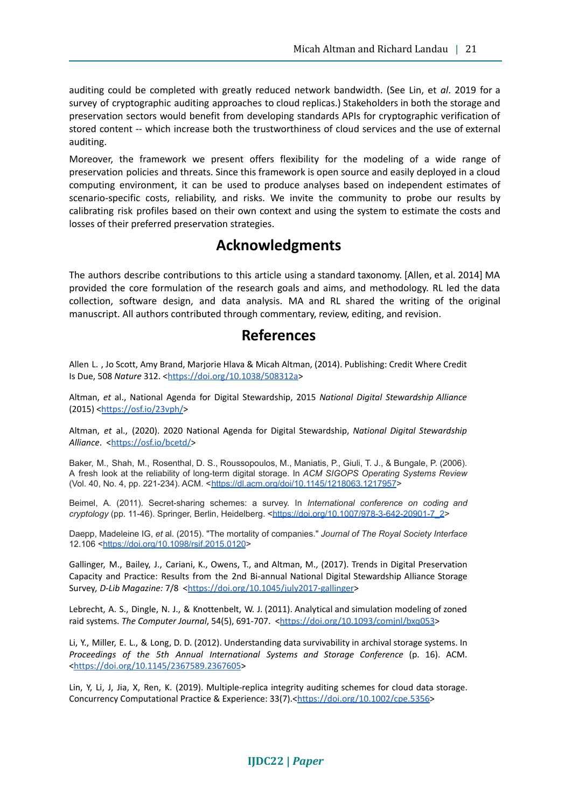auditing could be completed with greatly reduced network bandwidth. (See Lin, et *al*. 2019 for a survey of cryptographic auditing approaches to cloud replicas.) Stakeholders in both the storage and preservation sectors would benefit from developing standards APIs for cryptographic verification of stored content -- which increase both the trustworthiness of cloud services and the use of external auditing.

Moreover, the framework we present offers flexibility for the modeling of a wide range of preservation policies and threats. Since this framework is open source and easily deployed in a cloud computing environment, it can be used to produce analyses based on independent estimates of scenario-specific costs, reliability, and risks. We invite the community to probe our results by calibrating risk profiles based on their own context and using the system to estimate the costs and losses of their preferred preservation strategies.

### **Acknowledgments**

The authors describe contributions to this article using a standard taxonomy. [Allen, et al. 2014] MA provided the core formulation of the research goals and aims, and methodology. RL led the data collection, software design, and data analysis. MA and RL shared the writing of the original manuscript. All authors contributed through commentary, review, editing, and revision.

### **References**

Allen L. , Jo Scott, Amy Brand, Marjorie Hlava & Micah Altman, (2014). Publishing: Credit Where Credit Is Due, 508 *Nature* 312. <[https://doi.org/10.1038/508312a>](https://doi.org/10.1038/508312a)

Altman, *et* al., National Agenda for Digital Stewardship, 2015 *National Digital Stewardship Alliance* (2015) <<https://osf.io/23vph/>>

Altman, *et* al., (2020). 2020 National Agenda for Digital Stewardship, *National Digital Stewardship* Alliance. <<https://osf.io/bcetd/>>

Baker, M., Shah, M., Rosenthal, D. S., Roussopoulos, M., Maniatis, P., Giuli, T. J., & Bungale, P. (2006). A fresh look at the reliability of long-term digital storage. In *ACM SIGOPS Operating Systems Review* (Vol. 40, No. 4, pp. 221-234). ACM. <<https://dl.acm.org/doi/10.1145/1218063.1217957>>

Beimel, A. (2011). Secret-sharing schemes: a survey. In *International conference on coding and cryptology* (pp. 11-46). Springer, Berlin, Heidelberg. [<https://doi.org/10.1007/978-3-642-20901-7\\_2](https://doi.org/10.1007/978-3-642-20901-7_2)>

Daepp, Madeleine IG, *et* al. (2015). "The mortality of companies." *Journal of The Royal Society Interface* 12.106 [<https://doi.org/10.1098/rsif.2015.0120](https://doi.org/10.1098/rsif.2015.0120)>

Gallinger, M., Bailey, J., Cariani, K., Owens, T., and Altman, M., (2017). Trends in Digital Preservation Capacity and Practice: Results from the 2nd Bi-annual National Digital Stewardship Alliance Storage Survey, D-Lib Magazine: 7/8 <[https://doi.org/10.1045/july2017-gallinger>](https://doi.org/10.1045/july2017-gallinger)

Lebrecht, A. S., Dingle, N. J., & Knottenbelt, W. J. (2011). Analytical and simulation modeling of zoned raid systems. *The Computer Journal*, 54(5), 691-707. <<https://doi.org/10.1093/comjnl/bxq053>>

Li, Y., Miller, E. L., & Long, D. D. (2012). Understanding data survivability in archival storage systems. In *Proceedings of the 5th Annual International Systems and Storage Conference* (p. 16). ACM. <<https://doi.org/10.1145/2367589.2367605>>

Lin, Y, Li, J, Jia, X, Ren, K. (2019). Multiple-replica integrity auditing schemes for cloud data storage. Concurrency Computational Practice & Experience: 33(7).<[https://doi.org/10.1002/cpe.5356>](https://doi.org/10.1002/cpe.5356)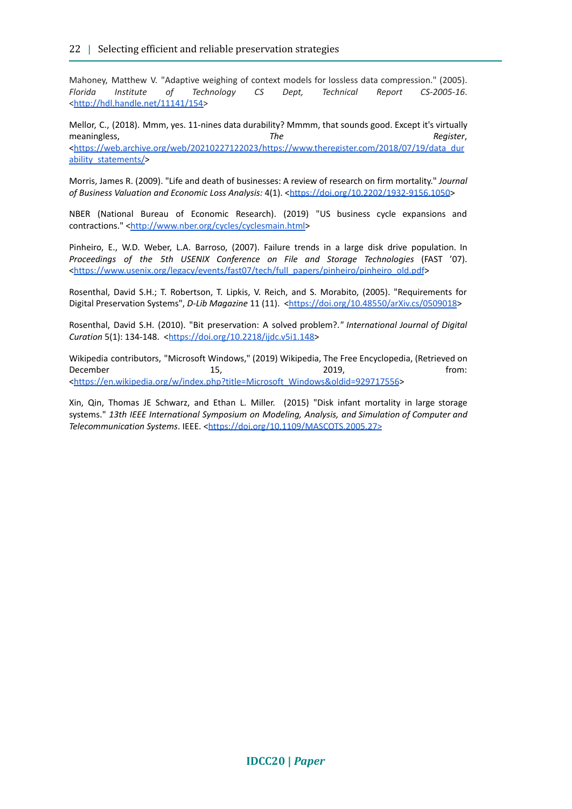Mahoney, Matthew V. "Adaptive weighing of context models for lossless data compression." (2005). *Florida Institute of Technology CS Dept, Technical Report CS-2005-16*. <[http://hdl.handle.net/11141/154>](http://hdl.handle.net/11141/154)

Mellor, C., (2018). Mmm, yes. 11-nines data durability? Mmmm, that sounds good. Except it's virtually meaningless, *The Register*, <[https://web.archive.org/web/20210227122023/https://www.theregister.com/2018/07/19/data\\_dur](https://web.archive.org/web/20210227122023/https://www.theregister.com/2018/07/19/data_durability_statements/) [ability\\_statements/>](https://web.archive.org/web/20210227122023/https://www.theregister.com/2018/07/19/data_durability_statements/)

Morris, James R. (2009). "Life and death of businesses: A review of research on firm mortality." *Journal of Business Valuation and Economic Loss Analysis:* 4(1). <<https://doi.org/10.2202/1932-9156.1050>>

NBER (National Bureau of Economic Research). (2019) "US business cycle expansions and contractions." [<http://www.nber.org/cycles/cyclesmain.html](http://www.nber.org/cycles/cyclesmain.html)>

Pinheiro, E., W.D. Weber, L.A. Barroso, (2007). Failure trends in a large disk drive population. In *Proceedings of the 5th USENIX Conference on File and Storage Technologies* (FAST '07). <[https://www.usenix.org/legacy/events/fast07/tech/full\\_papers/pinheiro/pinheiro\\_old.pdf](https://www.usenix.org/legacy/events/fast07/tech/full_papers/pinheiro/pinheiro_old.pdf)>

Rosenthal, David S.H.; T. Robertson, T. Lipkis, V. Reich, and S. Morabito, (2005). "Requirements for Digital Preservation Systems", *D-Lib Magazine* 11 (11). [<https://doi.org/10.48550/arXiv.cs/0509018](https://doi.org/10.48550/arXiv.cs/0509018)>

Rosenthal, David S.H. (2010). "Bit preservation: A solved problem?.*" International Journal of Digital Curation* 5(1): 134-148. <[https://doi.org/10.2218/ijdc.v5i1.148>](https://doi.org/10.2218/ijdc.v5i1.148)

Wikipedia contributors, "Microsoft Windows," (2019) Wikipedia, The Free Encyclopedia, (Retrieved on December 15, 1998 15, 2019, 2019, 1998 1999 1991 <[https://en.wikipedia.org/w/index.php?title=Microsoft\\_Windows&oldid=929717556](https://en.wikipedia.org/w/index.php?title=Microsoft_Windows&oldid=929717556)>

Xin, Qin, Thomas JE Schwarz, and Ethan L. Miller. (2015) "Disk infant mortality in large storage systems." *13th IEEE International Symposium on Modeling, Analysis, and Simulation of Computer and Telecommunication Systems.* IEEE. [<https://doi.org/10.1109/MASCOTS.2005.27>](https://doi.org/10.1109/MASCOTS.2005.27)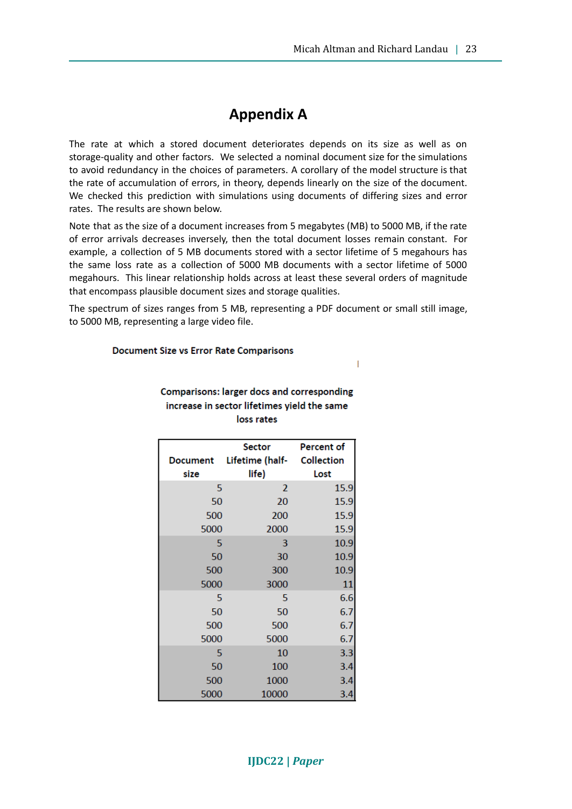$\overline{1}$ 

## **Appendix A**

The rate at which a stored document deteriorates depends on its size as well as on storage-quality and other factors. We selected a nominal document size for the simulations to avoid redundancy in the choices of parameters. A corollary of the model structure is that the rate of accumulation of errors, in theory, depends linearly on the size of the document. We checked this prediction with simulations using documents of differing sizes and error rates. The results are shown below.

Note that as the size of a document increases from 5 megabytes (MB) to 5000 MB, if the rate of error arrivals decreases inversely, then the total document losses remain constant. For example, a collection of 5 MB documents stored with a sector lifetime of 5 megahours has the same loss rate as a collection of 5000 MB documents with a sector lifetime of 5000 megahours. This linear relationship holds across at least these several orders of magnitude that encompass plausible document sizes and storage qualities.

The spectrum of sizes ranges from 5 MB, representing a PDF document or small still image, to 5000 MB, representing a large video file.

#### **Document Size vs Error Rate Comparisons**

|                 | <b>Sector</b>   | Percent of        |  |  |
|-----------------|-----------------|-------------------|--|--|
| <b>Document</b> | Lifetime (half- | <b>Collection</b> |  |  |
| size            | life)           | Lost              |  |  |
| 5               | $\overline{2}$  | 15.9              |  |  |
| 50              | 20              | 15.9              |  |  |
| 500             | 200             | 15.9              |  |  |
| 5000            | 2000            | 15.9              |  |  |
| 5               | 3               | 10.9              |  |  |
| 50              | 30              | 10.9              |  |  |
| 500             | 300             | 10.9              |  |  |
| 5000            | 3000            | 11                |  |  |
| 5               | 5               | 6.6               |  |  |
| 50              | 50              | 6.7               |  |  |
| 500             | 500             | 6.7               |  |  |
| 5000            | 5000            | 6.7               |  |  |
| 5               | 10              | 3.3               |  |  |
| 50              | 100             | 3.4               |  |  |
| 500             | 1000            | 3.4               |  |  |
| 5000            | 10000           | 3.4               |  |  |

#### Comparisons: larger docs and corresponding increase in sector lifetimes yield the same loss rates

#### **IJDC22 |** *Paper*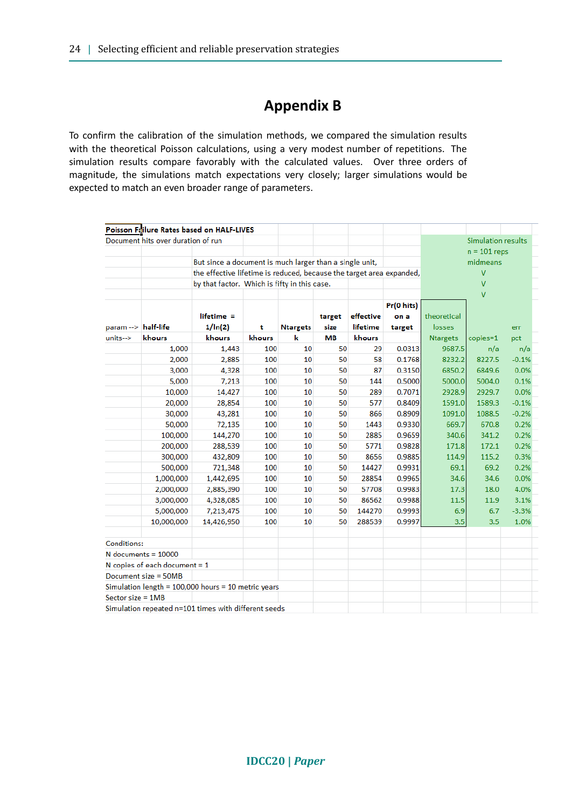## **Appendix B**

To confirm the calibration of the simulation methods, we compared the simulation results with the theoretical Poisson calculations, using a very modest number of repetitions. The simulation results compare favorably with the calculated values. Over three orders of magnitude, the simulations match expectations very closely; larger simulations would be expected to match an even broader range of parameters.

|                     |                                    | Poisson Failure Rates based on HALF-LIVES                            |        |                 |           |           |            |                                            |                           |         |  |
|---------------------|------------------------------------|----------------------------------------------------------------------|--------|-----------------|-----------|-----------|------------|--------------------------------------------|---------------------------|---------|--|
|                     | Document hits over duration of run |                                                                      |        |                 |           |           |            |                                            | <b>Simulation results</b> |         |  |
|                     |                                    |                                                                      |        |                 |           |           |            |                                            | $n = 101$ reps            |         |  |
|                     |                                    | But since a document is much larger than a single unit,              |        |                 |           |           |            | midmeans<br>$\overline{V}$<br>$\mathbf{V}$ |                           |         |  |
|                     |                                    | the effective lifetime is reduced, because the target area expanded, |        |                 |           |           |            |                                            |                           |         |  |
|                     |                                    | by that factor. Which is fifty in this case.                         |        |                 |           |           |            |                                            |                           |         |  |
|                     |                                    |                                                                      |        |                 |           |           |            | $\overline{V}$                             |                           |         |  |
|                     |                                    |                                                                      |        |                 |           |           | Pr(0 hits) |                                            |                           |         |  |
|                     |                                    | $lifetime =$                                                         |        |                 | target    | effective | on a       | theoretical                                |                           |         |  |
| param --> half-life |                                    | 1/ln(2)                                                              | t      | <b>Ntargets</b> | size      | lifetime  | target     | losses                                     |                           | err     |  |
| units-->            | khours                             | khours                                                               | khours | k               | <b>MB</b> | khours    |            | <b>Ntargets</b>                            | copies=1                  | pct     |  |
|                     | 1,000                              | 1,443                                                                | 100    | 10              | 50        | 29        | 0.0313     | 9687.5                                     | n/a                       | n/a     |  |
|                     | 2,000                              | 2,885                                                                | 100    | 10              | 50        | 58        | 0.1768     | 8232.2                                     | 8227.5                    | $-0.1%$ |  |
|                     | 3,000                              | 4,328                                                                | 100    | 10              | 50        | 87        | 0.3150     | 6850.2                                     | 6849.6                    | 0.0%    |  |
|                     | 5,000                              | 7,213                                                                | 100    | 10              | 50        | 144       | 0.5000     | 5000.0                                     | 5004.0                    | 0.1%    |  |
|                     | 10,000                             | 14,427                                                               | 100    | 10              | 50        | 289       | 0.7071     | 2928.9                                     | 2929.7                    | 0.0%    |  |
|                     | 20,000                             | 28,854                                                               | 100    | 10              | 50        | 577       | 0.8409     | 1591.0                                     | 1589.3                    | $-0.1%$ |  |
|                     | 30,000                             | 43,281                                                               | 100    | 10              | 50        | 866       | 0.8909     | 1091.0                                     | 1088.5                    | $-0.2%$ |  |
|                     | 50,000                             | 72,135                                                               | 100    | 10              | 50        | 1443      | 0.9330     | 669.7                                      | 670.8                     | 0.2%    |  |
|                     | 100,000                            | 144,270                                                              | 100    | 10              | 50        | 2885      | 0.9659     | 340.6                                      | 341.2                     | 0.2%    |  |
|                     | 200,000                            | 288,539                                                              | 100    | 10              | 50        | 5771      | 0.9828     | 171.8                                      | 172.1                     | 0.2%    |  |
|                     | 300,000                            | 432,809                                                              | 100    | 10              | 50        | 8656      | 0.9885     | 114.9                                      | 115.2                     | 0.3%    |  |
|                     | 500,000                            | 721,348                                                              | 100    | 10              | 50        | 14427     | 0.9931     | 69.1                                       | 69.2                      | 0.2%    |  |
|                     | 1,000,000                          | 1,442,695                                                            | 100    | 10              | 50        | 28854     | 0.9965     | 34.6                                       | 34.6                      | 0.0%    |  |
|                     | 2,000,000                          | 2,885,390                                                            | 100    | 10              | 50        | 57708     | 0.9983     | 17.3                                       | 18.0                      | 4.0%    |  |
|                     | 3,000,000                          | 4,328,085                                                            | 100    | 10              | 50        | 86562     | 0.9988     | 11.5                                       | 11.9                      | 3.1%    |  |
|                     | 5,000,000                          | 7,213,475                                                            | 100    | 10              | 50        | 144270    | 0.9993     | 6.9                                        | 6.7                       | $-3.3%$ |  |
|                     | 10,000,000                         | 14,426,950                                                           | 100    | 10              | 50        | 288539    | 0.9997     | 3.5                                        | 3.5                       | 1.0%    |  |
| Conditions:         |                                    |                                                                      |        |                 |           |           |            |                                            |                           |         |  |
|                     | $N$ documents = 10000              |                                                                      |        |                 |           |           |            |                                            |                           |         |  |
|                     | N copies of each document $= 1$    |                                                                      |        |                 |           |           |            |                                            |                           |         |  |
|                     | Document size = 50MB               |                                                                      |        |                 |           |           |            |                                            |                           |         |  |
|                     |                                    | Simulation length = $100,000$ hours = 10 metric years                |        |                 |           |           |            |                                            |                           |         |  |
| Sector size = $1MB$ |                                    |                                                                      |        |                 |           |           |            |                                            |                           |         |  |
|                     |                                    | Simulation repeated n=101 times with different seeds                 |        |                 |           |           |            |                                            |                           |         |  |